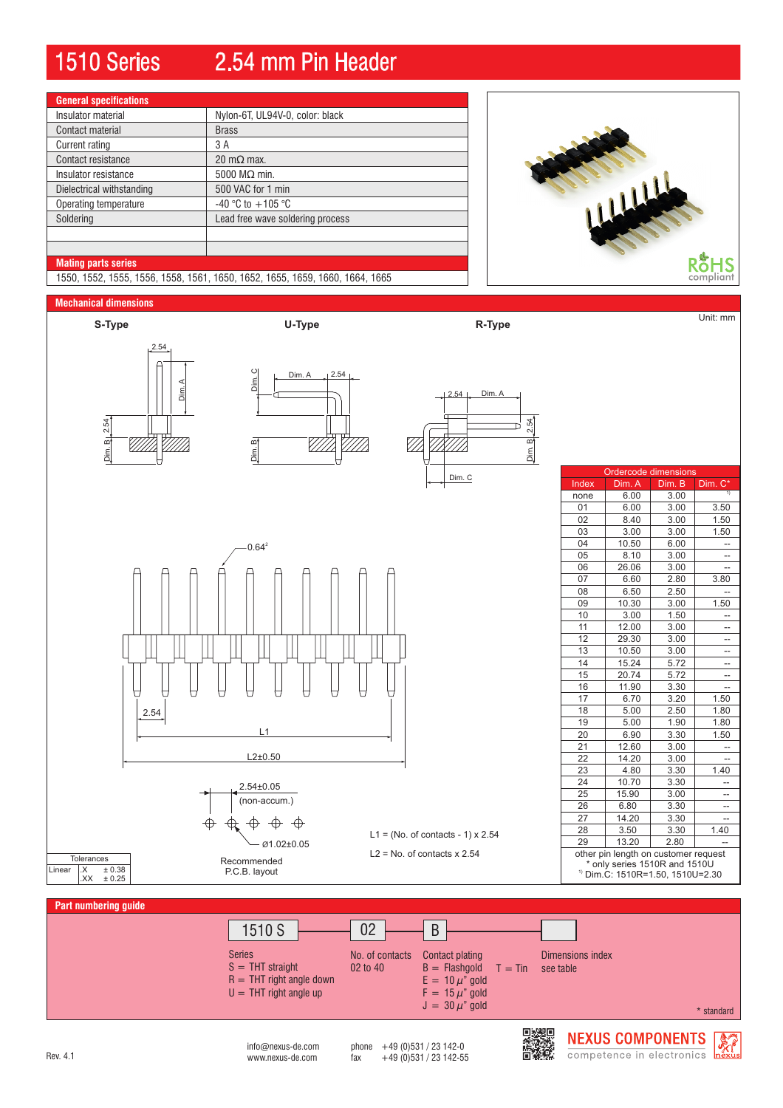# 1510 Series 2.54 mm Pin Header

| <b>General specifications</b> |                                  |
|-------------------------------|----------------------------------|
| Insulator material            | Nylon-6T, UL94V-0, color: black  |
| Contact material              | <b>Brass</b>                     |
| Current rating                | 3 A                              |
| Contact resistance            | 20 m $\Omega$ max.               |
| Insulator resistance          | 5000 $M\Omega$ min.              |
| Dielectrical withstanding     | 500 VAC for 1 min                |
| Operating temperature         | $-40$ °C to $+105$ °C            |
| Soldering                     | Lead free wave soldering process |
|                               |                                  |
|                               |                                  |
| <b>Mating parts series</b>    |                                  |



1550, 1552, 1555, 1556, 1558, 1561, 1650, 1652, 1655, 1659, 1660, 1664, 1665

### **Mechanical dimensions**



**Part numbering guide**



 $int_{\text{M}}$  info@nexus-de.com phone  $+49$  (0)531 / 23 142-0<br>www.nexus-de.com fax  $+49$  (0)531 / 23 142-55 Rev. 4.1 www.nexus-de.com fax +49 (0)531 / 23 142-55



**NEXUS COMPONENTS** competence in electronics

 $\frac{1}{2}$